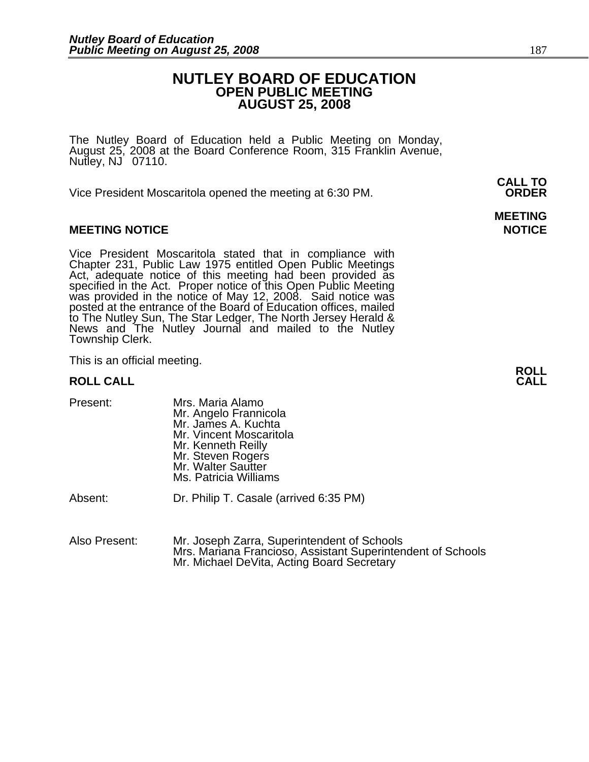#### **NUTLEY BOARD OF EDUCATION OPEN PUBLIC MEETING AUGUST 25, 2008**

The Nutley Board of Education held a Public Meeting on Monday, August 25, 2008 at the Board Conference Room, 315 Franklin Avenue, Nutley, NJ 07110.

 **CALL TO**  Vice President Moscaritola opened the meeting at 6:30 PM. **ORDER**

#### **MEETING NOTICE NOTICE AND RESERVE ASSESS**

Vice President Moscaritola stated that in compliance with Chapter 231, Public Law 1975 entitled Open Public Meetings Act, adequate notice of this meeting had been provided as specified in the Act. Proper notice of this Open Public Meeting<br>was provided in the notice of May 12, 2008. Said notice was<br>posted at the entrance of the Board of Education offices, mailed to The Nutley Sun, The Star Ledger, The North Jersey Herald & News and The Nutley Journal and mailed to the Nutley Township Clerk.

This is an official meeting. **ROLL ROLL CALL CALL** 

| Present: | Mrs. Maria Alamo<br>Mr. Angelo Frannicola<br>Mr. James A. Kuchta<br>Mr. Vincent Moscaritola<br>Mr. Kenneth Reilly<br>Mr. Steven Rogers<br>Mr. Walter Sautter |
|----------|--------------------------------------------------------------------------------------------------------------------------------------------------------------|
|          | Ms. Patricia Williams                                                                                                                                        |
|          |                                                                                                                                                              |

Absent: Dr. Philip T. Casale (arrived 6:35 PM)

Also Present: Mr. Joseph Zarra, Superintendent of Schools Mrs. Mariana Francioso, Assistant Superintendent of Schools Mr. Michael DeVita, Acting Board Secretary

# **MEETING**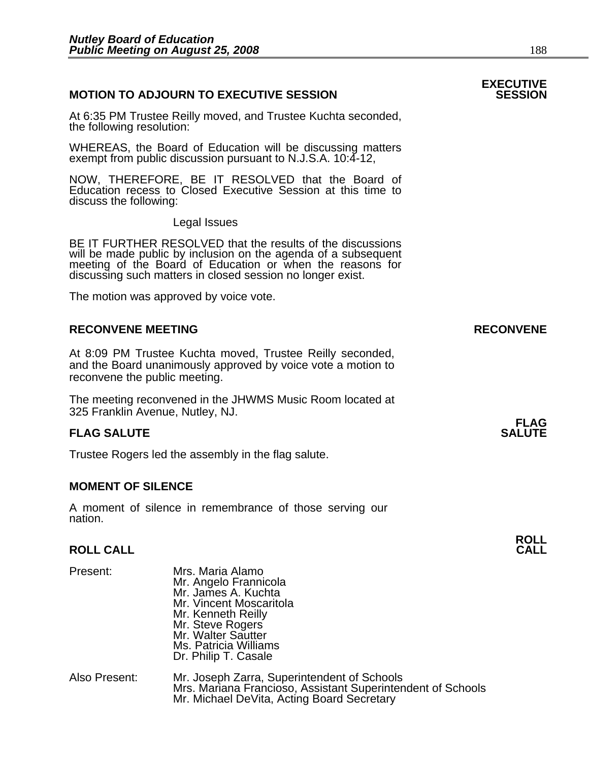#### **MOTION TO ADJOURN TO EXECUTIVE SESSION**

At 6:35 PM Trustee Reilly moved, and Trustee Kuchta seconded, the following resolution:

WHEREAS, the Board of Education will be discussing matters exempt from public discussion pursuant to N.J.S.A. 10:4-12,

NOW, THEREFORE, BE IT RESOLVED that the Board of Education recess to Closed Executive Session at this time to discuss the following:

Legal Issues

BE IT FURTHER RESOLVED that the results of the discussions will be made public by inclusion on the agenda of a subsequent meeting of the Board of Education or when the reasons for discussing such matters in closed session no longer exist.

The motion was approved by voice vote.

#### **RECONVENE MEETING RECONVENE**

At 8:09 PM Trustee Kuchta moved, Trustee Reilly seconded, and the Board unanimously approved by voice vote a motion to reconvene the public meeting.

The meeting reconvened in the JHWMS Music Room located at 325 Franklin Avenue, Nutley, NJ.

#### **FLAG SALUTE** SALUTE SALUTE SALUTE SALUTE SALUTE

Trustee Rogers led the assembly in the flag salute.

#### **MOMENT OF SILENCE**

A moment of silence in remembrance of those serving our nation.

### **ROLL ROLL CALL CALL**

| Present:      | Mrs. Maria Alamo<br>Mr. Angelo Frannicola<br>Mr. James A. Kuchta<br>Mr. Vincent Moscaritola<br>Mr. Kenneth Reilly<br>Mr. Steve Rogers<br>Mr. Walter Sautter<br>Ms. Patricia Williams<br>Dr. Philip T. Casale |
|---------------|--------------------------------------------------------------------------------------------------------------------------------------------------------------------------------------------------------------|
| Also Present: | Mr. Joseph Zarra, Superintendent of Schools<br>Mrs. Mariana Francioso, Assistant Superintendent of Schools<br>Mr. Michael DeVita, Acting Board Secretary                                                     |

## **EXECUTIVE**

## **FLAG**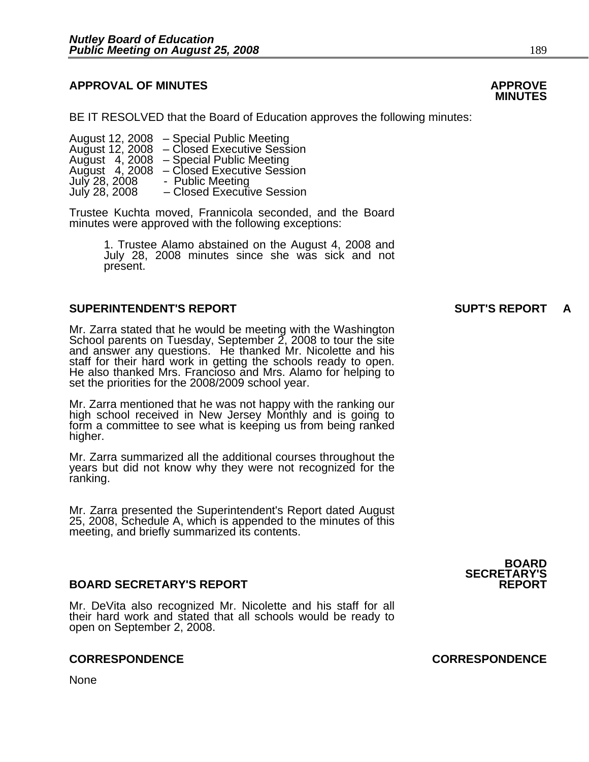#### **APPROVAL OF MINUTES APPROVE**

BE IT RESOLVED that the Board of Education approves the following minutes:

 August 12, 2008 – Special Public Meeting August 12, 2008 – Closed Executive Session August 4, 2008 – Special Public Meeting August 4, 2008 – Closed Executive Session July 28, 2008 - Public Meeting<br>July 28, 2008 - Closed Executiv – Closed Executive Session

> Trustee Kuchta moved, Frannicola seconded, and the Board minutes were approved with the following exceptions:

> > 1. Trustee Alamo abstained on the August 4, 2008 and July 28, 2008 minutes since she was sick and not present.

#### **SUPERINTENDENT'S REPORT SUPT'S REPORT A**

Mr. Zarra stated that he would be meeting with the Washington<br>School parents on Tuesday, September 2, 2008 to tour the site and answer any questions. He thanked Mr. Nicolette and his staff for their hard work in getting the schools ready to open. He also thanked Mrs. Francioso and Mrs. Alamo for helping to set the priorities for the 2008/2009 school year.

Mr. Zarra mentioned that he was not happy with the ranking our high school received in New Jersey Monthly and is going to form a committee to see what is keeping us from being ranked higher.

Mr. Zarra summarized all the additional courses throughout the years but did not know why they were not recognized for the ranking.

Mr. Zarra presented the Superintendent's Report dated August 25, 2008, Schedule A, which is appended to the minutes of this meeting, and briefly summarized its contents.

#### **BOARD SECRETARY'S REPORT REPORT**

Mr. DeVita also recognized Mr. Nicolette and his staff for all their hard work and stated that all schools would be ready to open on September 2, 2008.

#### **CORRESPONDENCE CORRESPONDENCE**

None

## **MINUTES**

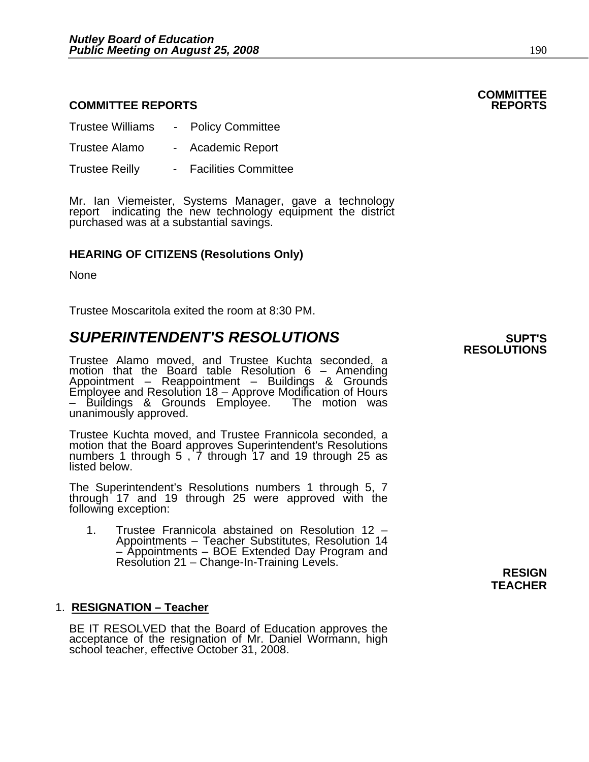#### **COMMITTEE REPORTS REPORTS**

| <b>Trustee Williams</b> | $\sim$ | <b>Policy Committee</b>     |
|-------------------------|--------|-----------------------------|
| Trustee Alamo           | $\sim$ | <b>Academic Report</b>      |
| <b>Trustee Reilly</b>   |        | <b>Facilities Committee</b> |

Mr. Ian Viemeister, Systems Manager, gave a technology report indicating the new technology equipment the district purchased was at a substantial savings.

#### **HEARING OF CITIZENS (Resolutions Only)**

None

Trustee Moscaritola exited the room at 8:30 PM.

### $\boldsymbol{\mathsf{SUPERINTENDENT'S}}$  **RESOLUTIONS**  $\boldsymbol{\mathsf{SUPTS}}$

Trustee Alamo moved, and Trustee Kuchta seconded, a motion that the Board table Resolution 6 – Amending<br>Appointment – Reappointment – Buildings & Grounds Employee and Resolution 18 – Approve Modification of Hours – Buildings & Grounds Employee. The motion was unanimously approved.

Trustee Kuchta moved, and Trustee Frannicola seconded, a numbers 1 through 5,  $\dot{7}$  through 17 and 19 through 25 as listed below.

The Superintendent's Resolutions numbers 1 through 5, 7 through 17 and 19 through 25 were approved with the following exception:

1. Trustee Frannicola abstained on Resolution 12 – Appointments – Teacher Substitutes, Resolution 14<br>- Appointments – BOE Extended Day Program and – Appointments – BOE Extended Day Program and Resolution 21 – Change-In-Training Levels. **RESIGN** 

#### 1. **RESIGNATION – Teacher**

BE IT RESOLVED that the Board of Education approves the acceptance of the resignation of Mr. Daniel Wormann, high school teacher, effective October 31, 2008.

## **RESOLUTIONS**

**TEACHER** 

## **COMMITTEE**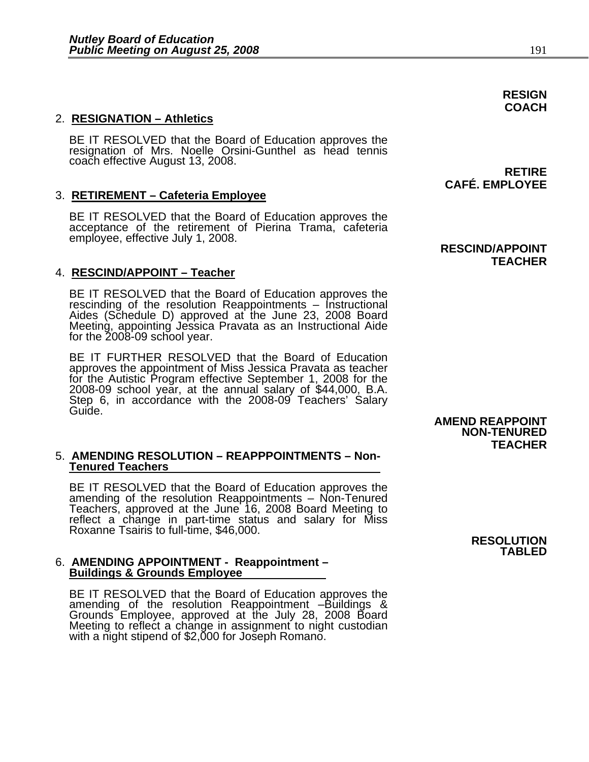#### 2. **RESIGNATION – Athletics**

BE IT RESOLVED that the Board of Education approves the resignation of Mrs. Noelle Orsini-Gunthel as head tennis coach effective August 13, 2008. **RETIRE** 

#### 3. **RETIREMENT – Cafeteria Employee**

BE IT RESOLVED that the Board of Education approves the acceptance of the retirement of Pierina Trama, cafeteria employee, effective July 1, 2008.

#### 4. **RESCIND/APPOINT – Teacher**

BE IT RESOLVED that the Board of Education approves the<br>rescinding of the resolution Reappointments – Instructional<br>Aides (Schedule D) approved at the June 23, 2008 Board Meeting, appointing Jessica Pravata as an Instructional Aide for the 2008-09 school year.

BE IT FURTHER RESOLVED that the Board of Education approves the appointment of Miss Jessica Pravata as teacher for the Autistic Program effective September 1, 2008 for the 2008-09 school year, at the annual salary of \$44,000, B.A. Step 6, in accordance with the 2008-09 Teachers' Salary Guide.

#### 5. **AMENDING RESOLUTION – REAPPPOINTMENTS – Non-Tenured Teachers**

BE IT RESOLVED that the Board of Education approves the amending of the resolution Reappointments – Non-Tenured Teachers, approved at the June 16, 2008 Board Meeting to reflect a change in part-time status and salary for Miss Roxanne Tsairis to full-time, \$46,000.

### 6. **AMENDING APPOINTMENT - Reappointment – Buildings & Grounds Employee**

BE IT RESOLVED that the Board of Education approves the<br>amending of the resolution Reappointment -Buildings &<br>Grounds Employee, approved at the July 28, 2008 Board<br>Meeting to reflect a change in assignment to night custodi

 **RESCIND/APPOINT TEACHER** 

**CAFÉ. EMPLOYEE** 

#### **AMEND REAPPOINT NON-TENURED TEACHER**

**RESOLUTION TABLED** 

#### **RESIGN COACH**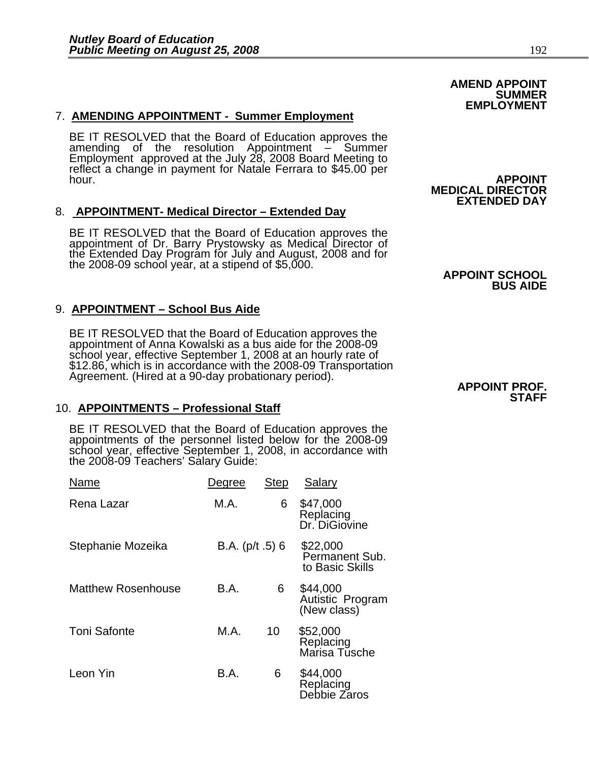#### 7. **AMENDING APPOINTMENT - Summer Employment**

BE IT RESOLVED that the Board of Education approves the amending of the resolution Appointment – Summer<br>Employment approved at the July 28, 2008 Board Meeting to reflect a change in payment for Natale Ferrara to \$45.00 per hour. **APPOINT**<br>**MEDICAL DIRECTOR** 

#### 8. **APPOINTMENT- Medical Director – Extended Day**

BE IT RESOLVED that the Board of Education approves the<br>appointment of Dr. Barry Prystowsky as Medical Director of<br>the Extended Day Program for July and August, 2008 and for<br>the 2008-09 school year, at a stipend of \$5,000.

#### 9. **APPOINTMENT – School Bus Aide**

BE IT RESOLVED that the Board of Education approves the<br>appointment of Anna Kowalski as a bus aide for the 2008-09 school year, effective September 1, 2008 at an hourly rate of<br>\$12.86, which is in accordance with the 2008-09 Transportation<br>Agreement. (Hired at a 90-day probationary period). **APPOINT PROF.** 

#### 10. **APPOINTMENTS – Professional Staff**

BE IT RESOLVED that the Board of Education approves the appointments of the personnel listed below for the 2008-09 school year, effective September 1, 2008, in accordance with the 2008-09 Teachers' Salary Guide:

| Name               | Degree           | <b>Step</b> | Salary                                        |
|--------------------|------------------|-------------|-----------------------------------------------|
| Rena Lazar         | M.A.             | 6           | \$47,000<br>Replacing<br>Dr. DiGiovine        |
| Stephanie Mozeika  | B.A. $(p/t.5)$ 6 |             | \$22,000<br>Permanent Sub.<br>to Basic Skills |
| Matthew Rosenhouse | B.A.             | 6           | \$44,000<br>Autistic Program<br>(New class)   |
| Toni Safonte       | M.A.             | 10          | \$52,000<br>Replacing<br>Marisa Tusche        |
| Leon Yin           | B.A.             | 6           | \$44,000<br>Replacing<br>Debbie Zaros         |

### **AMEND APPOINT SUMMER EMPLOYMENT**

# **EXTENDED DAY**

### **BUS AIDE**

### **STAFF**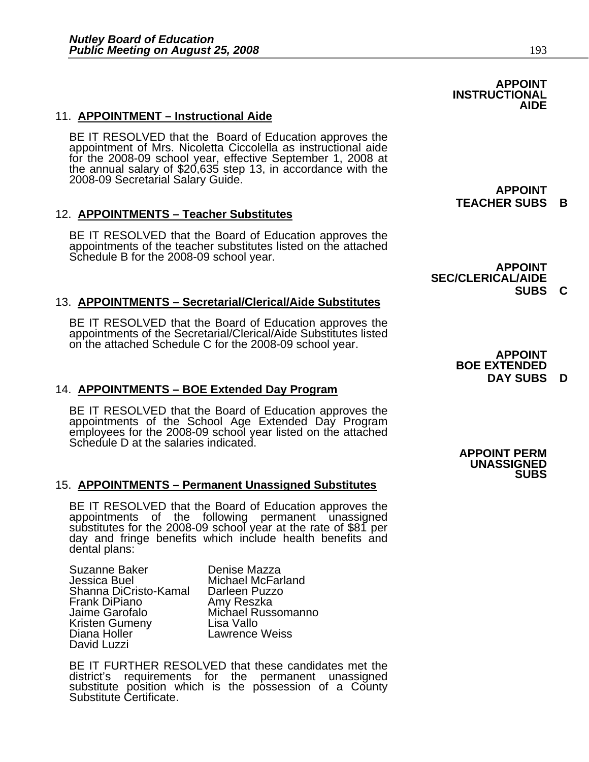#### **AIDE**  11. **APPOINTMENT – Instructional Aide**

BE IT RESOLVED that the Board of Education approves the appointment of Mrs. Nicoletta Ciccolella as instructional aide for the 2008-09 school year, effective September 1, 2008 at the annual salary of \$20,635 step 13, in accordance with the 2008-09 Secretarial Salary Guide. **APPOINT** 

 **APPOINT** 

#### 12. **APPOINTMENTS – Teacher Substitutes**

BE IT RESOLVED that the Board of Education approves the appointments of the teacher substitutes listed on the attached Schedule B for the 2008-09 school year.<br>**APPOINT** 

#### 13. **APPOINTMENTS – Secretarial/Clerical/Aide Substitutes**

BE IT RESOLVED that the Board of Education approves the appointments of the Secretarial/Clerical/Aide Substitutes listed on the attached Schedule C for the 2008-09 school year. **APPOINT** 

#### 14. **APPOINTMENTS – BOE Extended Day Program**

BE IT RESOLVED that the Board of Education approves the appointments of the School Age Extended Day Program employees for the 2008-09 school year listed on the attached Schedule D at the salaries indicated.

#### 15. **APPOINTMENTS – Permanent Unassigned Substitutes**

BE IT RESOLVED that the Board of Education approves the appointments of the following permanent unassigned substitutes for the 2008-09 school year at the rate of \$81 per day and fringe benefits which include health benefits and dental plans:

Suzanne Baker Denise Mazza Shanna DiCristo-Kamal Darleen Puzz<br>Frank DiPiano Amy Reszka Frank DiPiano<br>Jaime Garofalo Kristen Gumeny<br>Diana Holler David Luzzi

Michael McFarland<br>Darleen Puzzo Michael Russomanno<br>Lisa Vallo **Lawrence Weiss** 

 BE IT FURTHER RESOLVED that these candidates met the district's requirements for the permanent unassigned substitute position which is the possession of a County Substitute Certificate. **TEACHER SUBS B** 

 **INSTRUCTIONAL** 

 **SEC/CLERICAL/AIDE SUBS C** 

> **BOE EXTENDED DAY SUBS D**

**APPOINT PERM UNASSIGNED SUBS**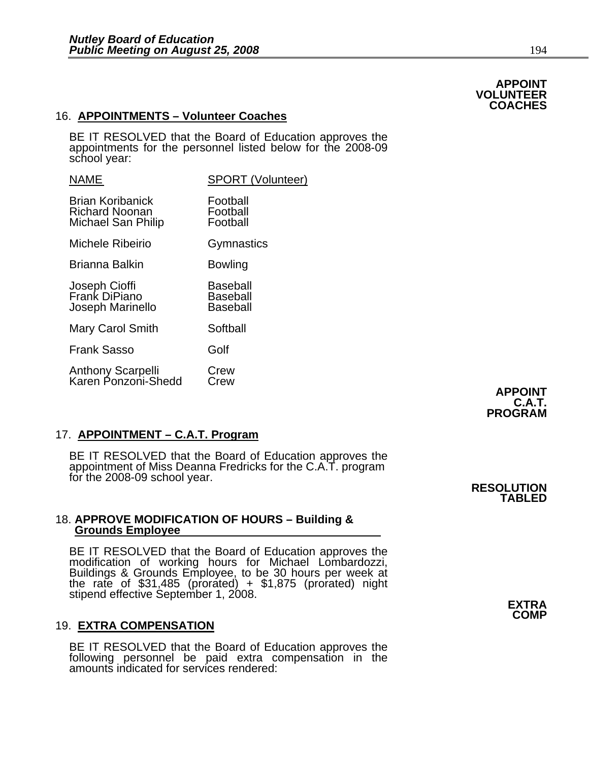#### 16. **APPOINTMENTS – Volunteer Coaches**

BE IT RESOLVED that the Board of Education approves the appointments for the personnel listed below for the 2008-09 school year:

| <b>NAME</b>                                                            | SPORT (Volunteer)                              |
|------------------------------------------------------------------------|------------------------------------------------|
| <b>Brian Koribanick</b><br><b>Richard Noonan</b><br>Michael San Philip | Football<br>Football<br>Football               |
| Michele Ribeirio                                                       | Gymnastics                                     |
| Brianna Balkin                                                         | Bowling                                        |
| Joseph Cioffi<br>Frank DiPiano<br>Joseph Marinello                     | Baseball<br><b>Baseball</b><br><b>Baseball</b> |
| <b>Mary Carol Smith</b>                                                | Softball                                       |
| <b>Frank Sasso</b>                                                     | Golf                                           |
| Anthony Scarpelli<br>Karen Ponzoni-Shedd                               | Crew<br>Crew                                   |

#### 17. **APPOINTMENT – C.A.T. Program**

BE IT RESOLVED that the Board of Education approves the<br>appointment of Miss Deanna Fredricks for the C.A.T. program<br>for the 2008-09 school year. **RESOLUTION** TABLED

### 18. **APPROVE MODIFICATION OF HOURS – Building & Grounds Employee**

BE IT RESOLVED that the Board of Education approves the modification of working hours for Michael Lombardozzi, Buildings & Grounds Employee, to be 30 hours per week at the rate of \$31,485 (prorated) + \$1,875 (prorated) night<br>stipend effective September 1, 2008.

#### 19. **EXTRA COMPENSATION**

BE IT RESOLVED that the Board of Education approves the following personnel be paid extra compensation in the amounts indicated for services rendered: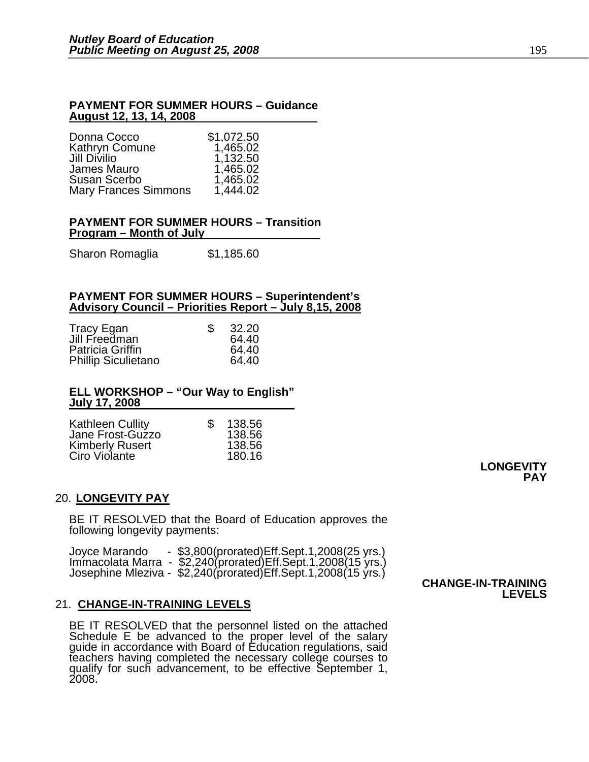#### **PAYMENT FOR SUMMER HOURS – Guidance August 12, 13, 14, 2008**

| Donna Cocco                 | \$1,072.50 |
|-----------------------------|------------|
| Kathryn Comune              | 1,465.02   |
| Jill Divilio                | 1,132.50   |
| James Mauro                 | 1,465.02   |
| Susan Scerbo                | 1,465.02   |
| <b>Mary Frances Simmons</b> | 1,444.02   |

#### **PAYMENT FOR SUMMER HOURS – Transition Program – Month of July**

Sharon Romaglia \$1,185.60

#### **PAYMENT FOR SUMMER HOURS – Superintendent's Advisory Council – Priorities Report – July 8,15, 2008**

| Tracy Egan                 | 32.20 |
|----------------------------|-------|
| Jill Freedman              | 64.40 |
| Patricia Griffin           | 64.40 |
| <b>Phillip Siculietano</b> | 64.40 |

#### **ELL WORKSHOP – "Our Way to English" July 17, 2008**

| <b>Kathleen Cullity</b> | \$<br>138.56 |
|-------------------------|--------------|
| Jane Frost-Guzzo        | 138.56       |
| <b>Kimberly Rusert</b>  | 138.56       |
| Ciro Violante           | 180.16       |

#### 20. **LONGEVITY PAY**

BE IT RESOLVED that the Board of Education approves the following longevity payments:

| - $$3,800$ (prorated) Eff. Sept. 1, 2008(25 yrs.)<br>Joyce Marando |                           |
|--------------------------------------------------------------------|---------------------------|
| Immacolata Marra - \$2,240(prorated)Eff.Sept.1,2008(15 yrs.)       |                           |
| Josephine Mleziva - \$2,240(prorated)Eff.Sept.1,2008(15 vrs.)      |                           |
|                                                                    | <b>CHANGE-IN-TRAINING</b> |

#### 21. **CHANGE-IN-TRAINING LEVELS**

BE IT RESOLVED that the personnel listed on the attached Schedule E be advanced to the proper level of the salary guide in accordance with Board of Education regulations, said<br>teachers having completed the necessary college courses to<br>qualify for such advancement, to be effective September 1, qualify for such advancement, to be effective September 1,<br>2008. **LEVELS**

**LONGEVITY** 

**PAY**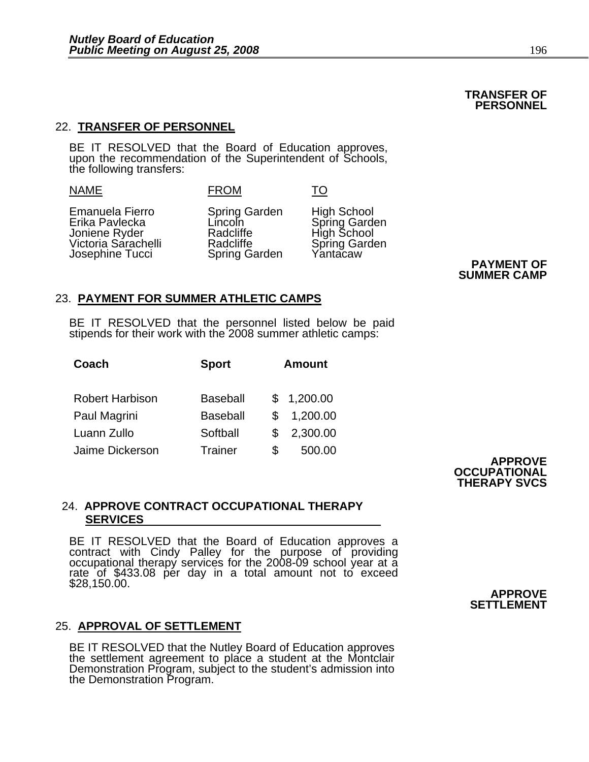#### **TRANSFER OF PERSONNEL**

#### 22. **TRANSFER OF PERSONNEL**

BE IT RESOLVED that the Board of Education approves, upon the recommendation of the Superintendent of Schools, the following transfers:

| ▁ | ١M |
|---|----|
|---|----|

FROM TO

Emanuela Fierro Spring Garden High School Erika Pavlecka Lincoln Spring Garden Joniene Ryder Radcliffe High School<br>Victoria Sarachelli Radcliffe Spring Garden Victoria Sarachelli Radcliffe Spring Garachelli Radcliffe Spring Garden Spring Garden Spring Garden Spring Garden Josephine Tucci Spring Garden Yantacaw **PAYMENT OF**

**SUMMER CAMP**

#### 23. **PAYMENT FOR SUMMER ATHLETIC CAMPS**

BE IT RESOLVED that the personnel listed below be paid stipends for their work with the 2008 summer athletic camps:

| Coach                  | <b>Sport</b>    |     | <b>Amount</b> |
|------------------------|-----------------|-----|---------------|
| <b>Robert Harbison</b> | <b>Baseball</b> |     | \$1,200.00    |
| Paul Magrini           | <b>Baseball</b> | \$. | 1,200.00      |
| Luann Zullo            | Softball        | S.  | 2,300.00      |
| Jaime Dickerson        | <b>Trainer</b>  | \$  | 500.00        |

**APPROVE OCCUPATIONAL THERAPY SVCS**

#### 24. **APPROVE CONTRACT OCCUPATIONAL THERAPY SERVICES**

BE IT RESOLVED that the Board of Education approves a contract with Cindy Palley for the purpose of providing occupational therapy services for the 2008-09 school year at a rate of \$433.08 per day in a total amount not to exceed \$28,150.00.

#### 25. **APPROVAL OF SETTLEMENT**

BE IT RESOLVED that the Nutley Board of Education approves the settlement agreement to place a student at the Montclair Demonstration Program, subject to the student's admission into the Demonstration Program.

**APPROVE SETTLEMENT**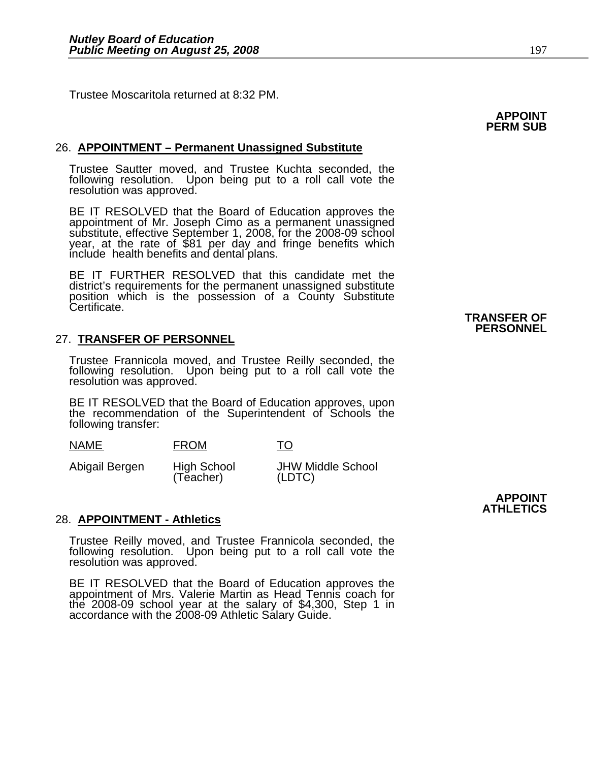Trustee Moscaritola returned at 8:32 PM.

# **APPOINT PERM SUB**

#### 26. **APPOINTMENT – Permanent Unassigned Substitute**

Trustee Sautter moved, and Trustee Kuchta seconded, the following resolution. Upon being put to a roll call vote the resolution was approved.

BE IT RESOLVED that the Board of Education approves the appointment of Mr. Joseph Cimo as a permanent unassigned substitute, effective September 1, 2008, for the 2008-09 school year, at the rate of \$81 per day and fringe benefits which<br>include health benefits and dental plans.

BE IT FURTHER RESOLVED that this candidate met the district's requirements for the permanent unassigned substitute position which is the possession of a County Substitute Certificate.

#### 27. **TRANSFER OF PERSONNEL**

Trustee Frannicola moved, and Trustee Reilly seconded, the following resolution. Upon being put to a roll call vote the resolution was approved.

BE IT RESOLVED that the Board of Education approves, upon the recommendation of the Superintendent of Schools the following transfer:

| <b>NAME</b>    | <b>FROM</b>              | TO                                 |
|----------------|--------------------------|------------------------------------|
| Abigail Bergen | High School<br>(Teacher) | <b>JHW Middle School</b><br>(LDTC) |

#### 28. **APPOINTMENT - Athletics**

Trustee Reilly moved, and Trustee Frannicola seconded, the following resolution. Upon being put to a roll call vote the resolution was approved.

BE IT RESOLVED that the Board of Education approves the<br>appointment of Mrs. Valerie Martin as Head Tennis coach for the 2008-09 school year at the salary of \$4,300, Step 1 in<br>accordance with the 2008-09 Athletic Salary Guide.  **TRANSFER OF PERSONNEL**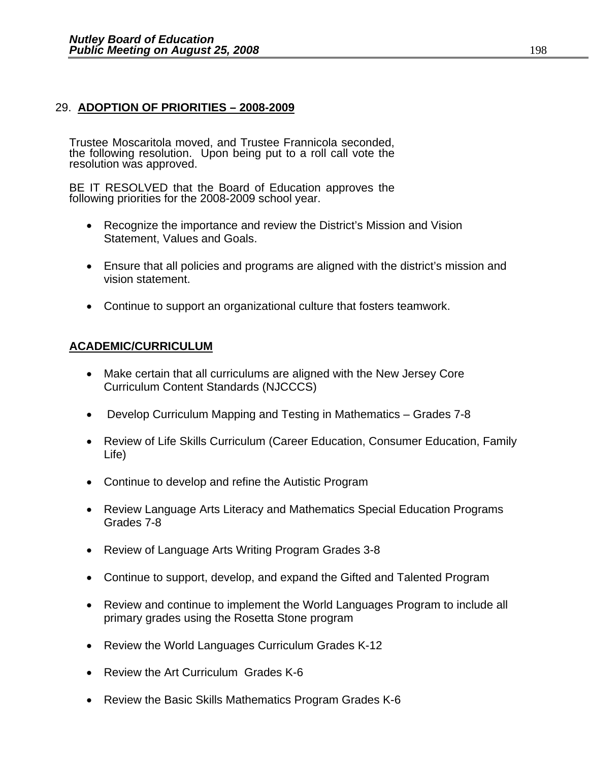#### 29. **ADOPTION OF PRIORITIES – 2008-2009**

Trustee Moscaritola moved, and Trustee Frannicola seconded, the following resolution. Upon being put to a roll call vote the resolution was approved.

BE IT RESOLVED that the Board of Education approves the following priorities for the 2008-2009 school year.

- Recognize the importance and review the District's Mission and Vision Statement, Values and Goals.
- Ensure that all policies and programs are aligned with the district's mission and vision statement.
- Continue to support an organizational culture that fosters teamwork.

#### **ACADEMIC/CURRICULUM**

- Make certain that all curriculums are aligned with the New Jersey Core Curriculum Content Standards (NJCCCS)
- Develop Curriculum Mapping and Testing in Mathematics Grades 7-8
- Review of Life Skills Curriculum (Career Education, Consumer Education, Family Life)
- Continue to develop and refine the Autistic Program
- Review Language Arts Literacy and Mathematics Special Education Programs Grades 7-8
- Review of Language Arts Writing Program Grades 3-8
- Continue to support, develop, and expand the Gifted and Talented Program
- Review and continue to implement the World Languages Program to include all primary grades using the Rosetta Stone program
- Review the World Languages Curriculum Grades K-12
- Review the Art Curriculum Grades K-6
- Review the Basic Skills Mathematics Program Grades K-6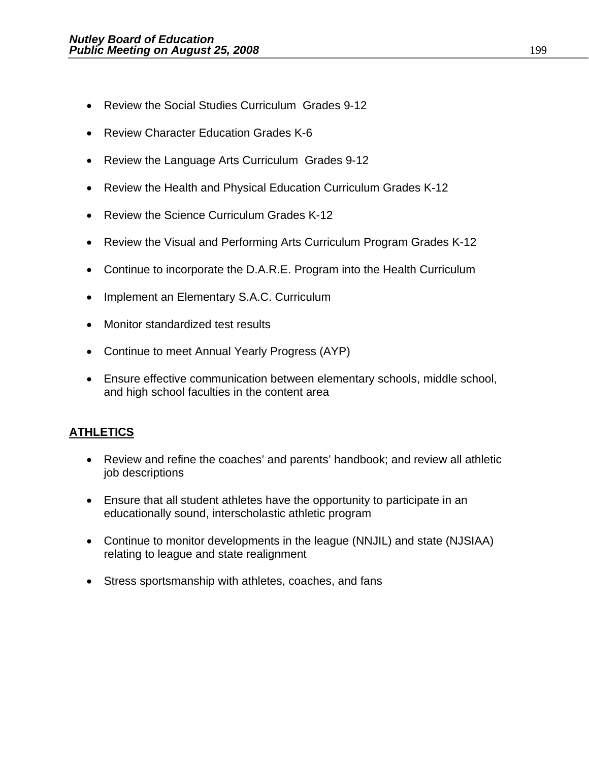- Review the Social Studies Curriculum Grades 9-12
- Review Character Education Grades K-6
- Review the Language Arts Curriculum Grades 9-12
- Review the Health and Physical Education Curriculum Grades K-12
- Review the Science Curriculum Grades K-12
- Review the Visual and Performing Arts Curriculum Program Grades K-12
- Continue to incorporate the D.A.R.E. Program into the Health Curriculum
- Implement an Elementary S.A.C. Curriculum
- Monitor standardized test results
- Continue to meet Annual Yearly Progress (AYP)
- Ensure effective communication between elementary schools, middle school, and high school faculties in the content area

### **ATHLETICS**

- Review and refine the coaches' and parents' handbook; and review all athletic job descriptions
- Ensure that all student athletes have the opportunity to participate in an educationally sound, interscholastic athletic program
- Continue to monitor developments in the league (NNJIL) and state (NJSIAA) relating to league and state realignment
- Stress sportsmanship with athletes, coaches, and fans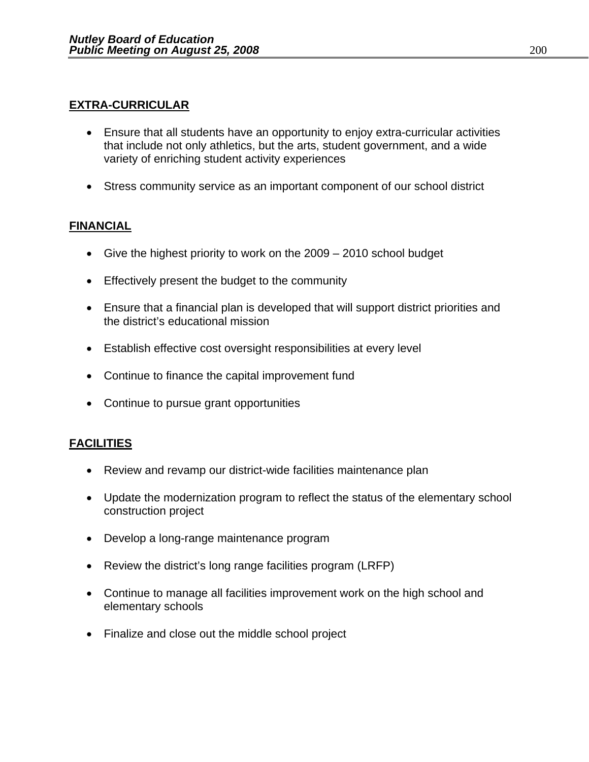#### **EXTRA-CURRICULAR**

- Ensure that all students have an opportunity to enjoy extra-curricular activities that include not only athletics, but the arts, student government, and a wide variety of enriching student activity experiences
- Stress community service as an important component of our school district

### **FINANCIAL**

- Give the highest priority to work on the 2009 2010 school budget
- Effectively present the budget to the community
- Ensure that a financial plan is developed that will support district priorities and the district's educational mission
- Establish effective cost oversight responsibilities at every level
- Continue to finance the capital improvement fund
- Continue to pursue grant opportunities

### **FACILITIES**

- Review and revamp our district-wide facilities maintenance plan
- Update the modernization program to reflect the status of the elementary school construction project
- Develop a long-range maintenance program
- Review the district's long range facilities program (LRFP)
- Continue to manage all facilities improvement work on the high school and elementary schools
- Finalize and close out the middle school project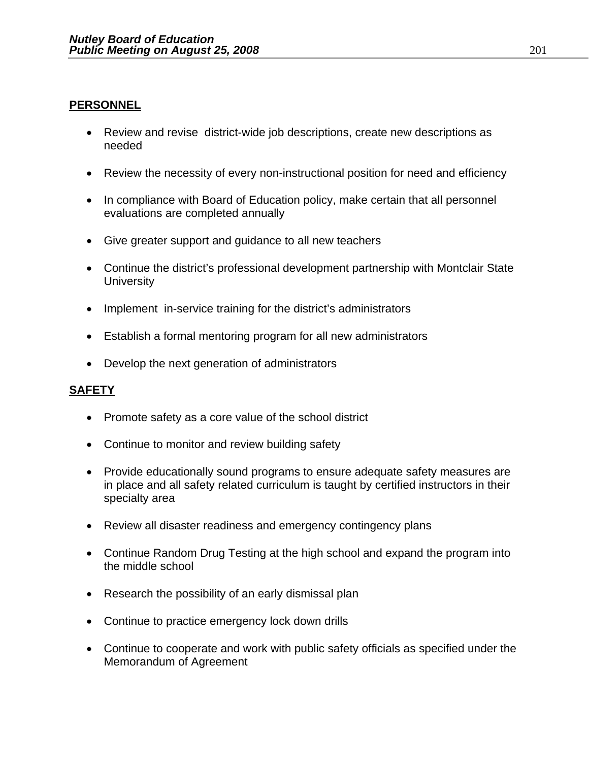#### **PERSONNEL**

- Review and revise district-wide job descriptions, create new descriptions as needed
- Review the necessity of every non-instructional position for need and efficiency
- In compliance with Board of Education policy, make certain that all personnel evaluations are completed annually
- Give greater support and guidance to all new teachers
- Continue the district's professional development partnership with Montclair State **University**
- Implement in-service training for the district's administrators
- Establish a formal mentoring program for all new administrators
- Develop the next generation of administrators

#### **SAFETY**

- Promote safety as a core value of the school district
- Continue to monitor and review building safety
- Provide educationally sound programs to ensure adequate safety measures are in place and all safety related curriculum is taught by certified instructors in their specialty area
- Review all disaster readiness and emergency contingency plans
- Continue Random Drug Testing at the high school and expand the program into the middle school
- Research the possibility of an early dismissal plan
- Continue to practice emergency lock down drills
- Continue to cooperate and work with public safety officials as specified under the Memorandum of Agreement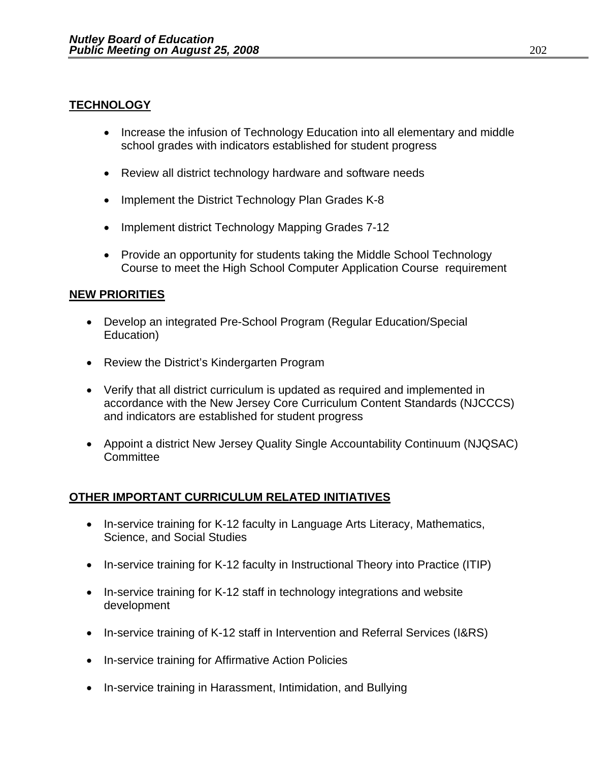#### **TECHNOLOGY**

- Increase the infusion of Technology Education into all elementary and middle school grades with indicators established for student progress
- Review all district technology hardware and software needs
- Implement the District Technology Plan Grades K-8
- Implement district Technology Mapping Grades 7-12
- Provide an opportunity for students taking the Middle School Technology Course to meet the High School Computer Application Course requirement

#### **NEW PRIORITIES**

- Develop an integrated Pre-School Program (Regular Education/Special Education)
- Review the District's Kindergarten Program
- Verify that all district curriculum is updated as required and implemented in accordance with the New Jersey Core Curriculum Content Standards (NJCCCS) and indicators are established for student progress
- Appoint a district New Jersey Quality Single Accountability Continuum (NJQSAC) **Committee**

### **OTHER IMPORTANT CURRICULUM RELATED INITIATIVES**

- In-service training for K-12 faculty in Language Arts Literacy, Mathematics, Science, and Social Studies
- In-service training for K-12 faculty in Instructional Theory into Practice (ITIP)
- In-service training for K-12 staff in technology integrations and website development
- In-service training of K-12 staff in Intervention and Referral Services (I&RS)
- In-service training for Affirmative Action Policies
- In-service training in Harassment, Intimidation, and Bullying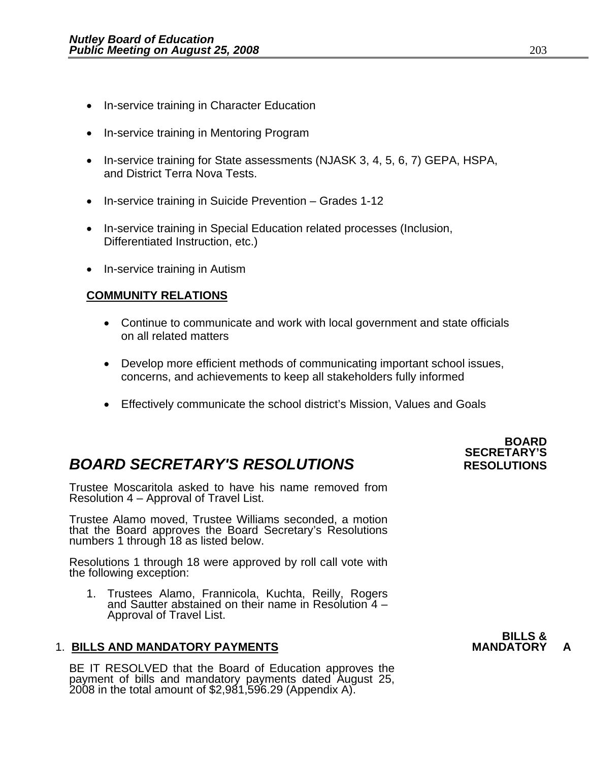- In-service training in Character Education
- In-service training in Mentoring Program
- In-service training for State assessments (NJASK 3, 4, 5, 6, 7) GEPA, HSPA, and District Terra Nova Tests.
- In-service training in Suicide Prevention Grades 1-12
- In-service training in Special Education related processes (Inclusion, Differentiated Instruction, etc.)
- In-service training in Autism

#### **COMMUNITY RELATIONS**

- Continue to communicate and work with local government and state officials on all related matters
- Develop more efficient methods of communicating important school issues, concerns, and achievements to keep all stakeholders fully informed
- Effectively communicate the school district's Mission, Values and Goals

### **BOARD SECRETARY'S RESOLUTIONS** RESOLUTIONS

Trustee Moscaritola asked to have his name removed from Resolution 4 – Approval of Travel List.

Trustee Alamo moved, Trustee Williams seconded, a motion that the Board approves the Board Secretary's Resolutions numbers 1 through 18 as listed below.

Resolutions 1 through 18 were approved by roll call vote with the following exception:

1. Trustees Alamo, Frannicola, Kuchta, Reilly, Rogers and Sautter abstained on their name in Resolution 4 – Approval of Travel List.

#### 1. **BILLS AND MANDATORY PAYMENTS MANDATORY A**

BE IT RESOLVED that the Board of Education approves the payment of bills and mandatory payments dated August 25, 2008 in the total amount of \$2,981,596.29 (Appendix A).

### **BOARD SECRETARY'S**

### **BILLS &**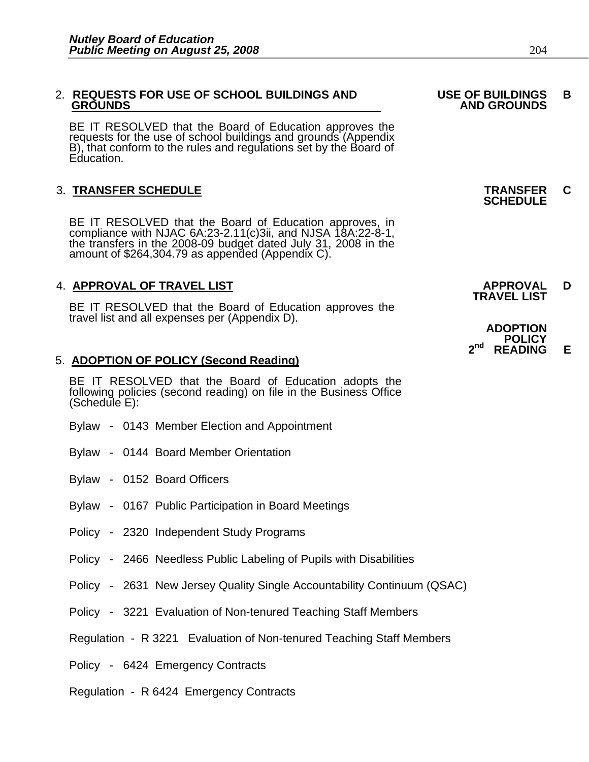#### 2. **REQUESTS FOR USE OF SCHOOL BUILDINGS AND USE OF BUILDINGS B GROUNDS** AND GROUNDS AND GROUNDS AND GROUNDS

BE IT RESOLVED that the Board of Education approves the requests for the use of school buildings and grounds (Appendix B), that conform to the rules and regulations set by the Board of Education.

### 3. **TRANSFER SCHEDULE TRANSFER C SCHEDULE**

BE IT RESOLVED that the Board of Education approves, in compliance with NJAC 6A:23-2.11(c)3ii, and NJSA 18A:22-8-1, the transfers in the 2008-09 budget dated July 31, 2008 in the amount of \$264,304.79 as appended (Appendix

### 4. **APPROVAL OF TRAVEL LIST APPROVAL D TRAVEL LIST**

BE IT RESOLVED that the Board of Education approves the travel list and all expenses per (Appendix D).

#### 5. **ADOPTION OF POLICY (Second Reading)**

BE IT RESOLVED that the Board of Education adopts the following policies (second reading) on file in the Business Office (Schedule E):

- Bylaw 0143 Member Election and Appointment
- Bylaw 0144 Board Member Orientation
- Bylaw 0152 Board Officers
- Bylaw 0167 Public Participation in Board Meetings
- Policy 2320 Independent Study Programs
- Policy 2466 Needless Public Labeling of Pupils with Disabilities
- Policy 2631 New Jersey Quality Single Accountability Continuum (QSAC)
- Policy 3221 Evaluation of Non-tenured Teaching Staff Members
- Regulation R 3221 Evaluation of Non-tenured Teaching Staff Members
- Policy 6424 Emergency Contracts
- Regulation R 6424 Emergency Contracts

| <b>ADOPTION</b> |                |   |  |
|-----------------|----------------|---|--|
|                 | <b>POLICY</b>  |   |  |
| 2 <sub>nd</sub> | <b>READING</b> | Е |  |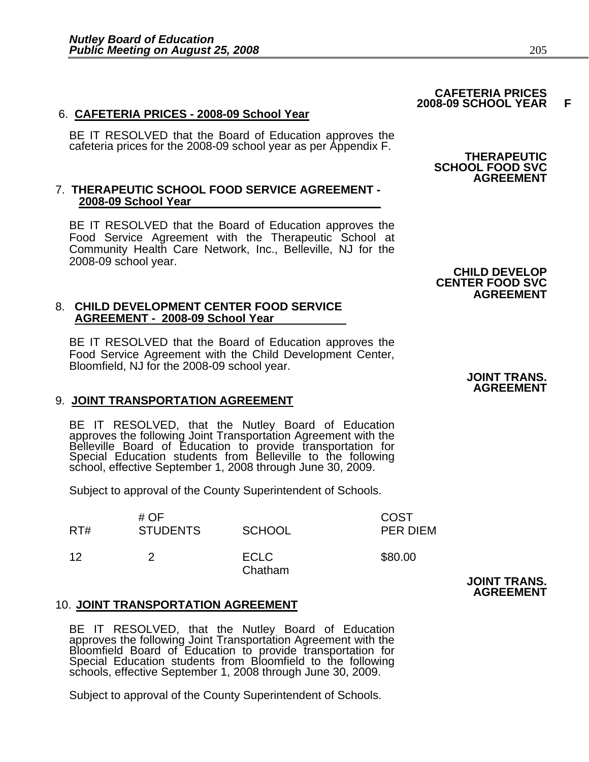#### 6. **CAFETERIA PRICES - 2008-09 School Year**

BE IT RESOLVED that the Board of Education approves the cafeteria prices for the 2008-09 school year as per Appendix F. **THERAPEUTIC** 

#### 7. **THERAPEUTIC SCHOOL FOOD SERVICE AGREEMENT - 2008-09 School Year**

BE IT RESOLVED that the Board of Education approves the Food Service Agreement with the Therapeutic School at Community Health Care Network, Inc., Belleville, NJ for the 2008-09 school year.

#### 8. **CHILD DEVELOPMENT CENTER FOOD SERVICE AGREEMENT - 2008-09 School Year**

BE IT RESOLVED that the Board of Education approves the Food Service Agreement with the Child Development Center, Bloomfield, NJ for the 2008-09 school year.

#### 9. **JOINT TRANSPORTATION AGREEMENT**

BE IT RESOLVED, that the Nutley Board of Education<br>approves the following Joint Transportation Agreement with the<br>Belleville Board of Education to provide transportation for<br>Special Education students from Belleville to th

Subject to approval of the County Superintendent of Schools.

| RT# | # $OF$<br><b>STUDENTS</b> | <b>SCHOOL</b>          | <b>COST</b><br>PER DIEM |
|-----|---------------------------|------------------------|-------------------------|
| 12  |                           | <b>ECLC</b><br>Chatham | \$80.00                 |

#### 10. **JOINT TRANSPORTATION AGREEMENT**

BE IT RESOLVED, that the Nutley Board of Education<br>approves the following Joint Transportation Agreement with the<br>Bloomfield Board of Education to provide transportation for<br>Special Education students from Bloomfield to th

Subject to approval of the County Superintendent of Schools.

# **SCHOOL FOOD SVC**

 **CAFETERIA PRICES 2008-09 SCHOOL YEAR F** 

### **AGREEMENT**

#### **CHILD DEVELOP CENTER FOOD SVC AGREEMENT**

#### **JOINT TRANS. AGREEMENT**

**JOINT TRANS. AGREEMENT**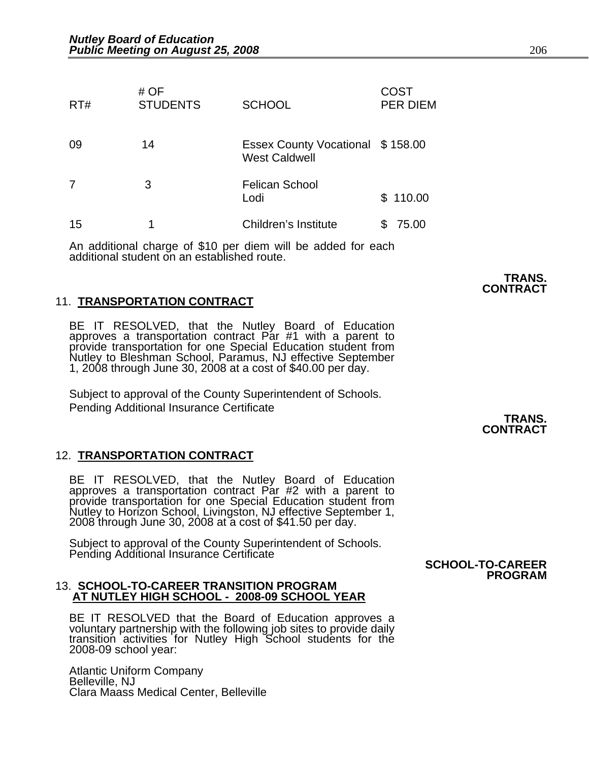| RT# | # $OF$<br><b>STUDENTS</b> | <b>SCHOOL</b>                                            | COST<br><b>PER DIEM</b> |
|-----|---------------------------|----------------------------------------------------------|-------------------------|
| 09  | 14                        | Essex County Vocational \$158.00<br><b>West Caldwell</b> |                         |
| 7   | 3                         | <b>Felican School</b><br>Lodi                            | \$110.00                |
| 15  | 1                         | Children's Institute                                     | 75.00                   |

An additional charge of \$10 per diem will be added for each additional student on an established route.

#### 11. **TRANSPORTATION CONTRACT**

BE IT RESOLVED, that the Nutley Board of Education approves a transportation contract Par #1 with a parent to provide transportation for one Special Education student from Nutley to Bleshman School, Paramus, NJ effective September 1, 2008 through June 30, 2008 at a cost of \$40.00 per day.

Subject to approval of the County Superintendent of Schools. Pending Additional Insurance Certificate

#### 12. **TRANSPORTATION CONTRACT**

BE IT RESOLVED, that the Nutley Board of Education<br>approves a transportation contract Par #2 with a parent to<br>provide transportation for one Special Education student from<br>Nutley to Horizon School, Livingston, NJ effective

Subject to approval of the County Superintendent of Schools. Pending Additional Insurance Certificate

#### 13. **SCHOOL-TO-CAREER TRANSITION PROGRAM AT NUTLEY HIGH SCHOOL - 2008-09 SCHOOL YEAR**

BE IT RESOLVED that the Board of Education approves a voluntary partnership with the following job sites to provide daily transition activities for Nutley High School students for the 2008-09 school year:

Atlantic Uniform Company Belleville, NJ Clara Maass Medical Center, Belleville

 **TRANS. CONTRACT** 

 **SCHOOL-TO-CAREER PROGRAM**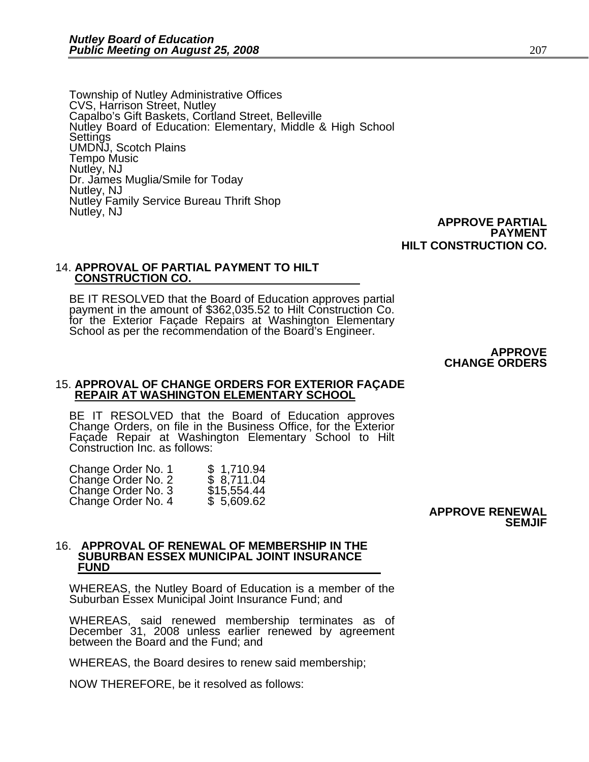Township of Nutley Administrative Offices CVS, Harrison Street, Nutley Capalbo's Gift Baskets, Cortland Street, Belleville Nutley Board of Education: Elementary, Middle & High School Settings<br>UMDNJ, Scotch Plains Tempo Music Nutley, NJ Dr. James Muglia/Smile for Today Nutley, NJ Nutley Family Service Bureau Thrift Shop Nutley, NJ

 **APPROVE PARTIAL PAYMENT HILT CONSTRUCTION CO.**

### 14. **APPROVAL OF PARTIAL PAYMENT TO HILT CONSTRUCTION CO.**

BE IT RESOLVED that the Board of Education approves partial payment in the amount of \$362,035.52 to Hilt Construction Co. for the Exterior Façade Repairs at Washington Elementary School as per the recommendation of the Board's Engineer.

> **APPROVE CHANGE ORDERS**

### 15. **APPROVAL OF CHANGE ORDERS FOR EXTERIOR FAÇADE REPAIR AT WASHINGTON ELEMENTARY SCHOOL**

BE IT RESOLVED that the Board of Education approves Change Orders, on file in the Business Office, for the Exterior Façade Repair at Washington Elementary School to Hilt Construction Inc. as follows:

| Change Order No. 1 | \$1,710.94  |
|--------------------|-------------|
| Change Order No. 2 | \$8,711.04  |
| Change Order No. 3 | \$15,554.44 |
| Change Order No. 4 | \$5,609.62  |

#### **APPROVE RENEWAL SEMJIF**

#### 16. **APPROVAL OF RENEWAL OF MEMBERSHIP IN THE SUBURBAN ESSEX MUNICIPAL JOINT INSURANCE FUND**

WHEREAS, the Nutley Board of Education is a member of the Suburban Essex Municipal Joint Insurance Fund; and

WHEREAS, said renewed membership terminates as of December 31, 2008 unless earlier renewed by agreement<br>between the Board and the Fund; and

WHEREAS, the Board desires to renew said membership;

NOW THEREFORE, be it resolved as follows: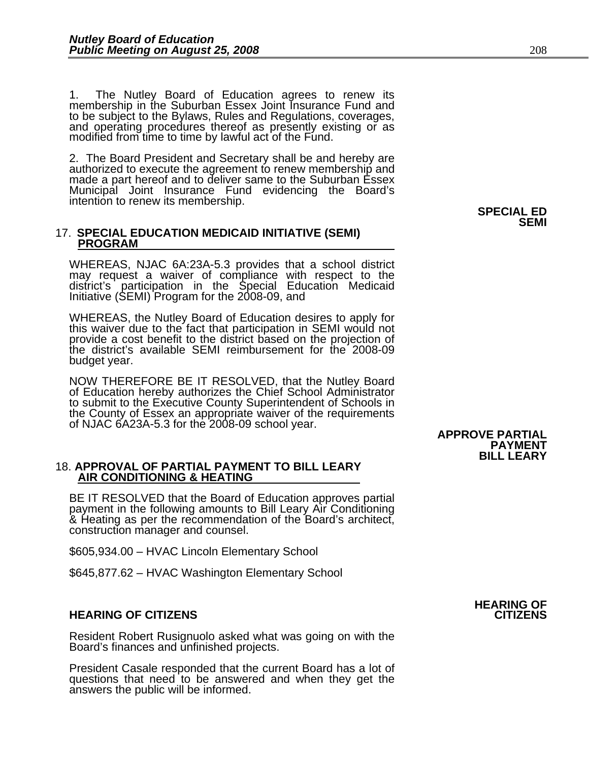1. The Nutley Board of Education agrees to renew its membership in the Suburban Essex Joint Insurance Fund and to be subject to the Bylaws, Rules and Regulations, coverages,<br>and operating procedures thereof as presently existing or as<br>modified from time to time by lawful act of the Fund.

2. The Board President and Secretary shall be and hereby are authorized to execute the agreement to renew membership and made a part hereof and to deliver same to the Suburban Essex Municipal Joint Insurance Fund evidencing the Board's intention to renew its membership. **SPECIAL ED** 

### 17. **SPECIAL EDUCATION MEDICAID INITIATIVE (SEMI) PROGRAM**

WHEREAS, NJAC 6A:23A-5.3 provides that a school district may request a waiver of compliance with respect to the district's participation in the Special Education Medicaid Initiative (SEMI) Program for the 2008-09, and

WHEREAS, the Nutley Board of Education desires to apply for this waiver due to the fact that participation in SEMI would not provide a cost benefit to the district based on the projection of the district's available SEMI reimbursement for the 2008-09 budget year.

NOW THEREFORE BE IT RESOLVED, that the Nutley Board of Education hereby authorizes the Chief School Administrator to submit to the Executive County Superintendent of Schools in the County of Essex an appropriate waiver of the requirements of NJAC 6A23A-5.3 for the 2008-09 school year.

### 18. **APPROVAL OF PARTIAL PAYMENT TO BILL LEARY AIR CONDITIONING & HEATING**

BE IT RESOLVED that the Board of Education approves partial payment in the following amounts to Bill Leary Air Conditioning & Heating as per the recommendation of the Board's architect, construction manager and counsel.

\$605,934.00 – HVAC Lincoln Elementary School

\$645,877.62 – HVAC Washington Elementary School

#### **HEARING OF CITIZENS CITIZENS**

Resident Robert Rusignuolo asked what was going on with the<br>Board's finances and unfinished projects.

President Casale responded that the current Board has a lot of questions that need to be answered and when they get the answers the public will be informed.

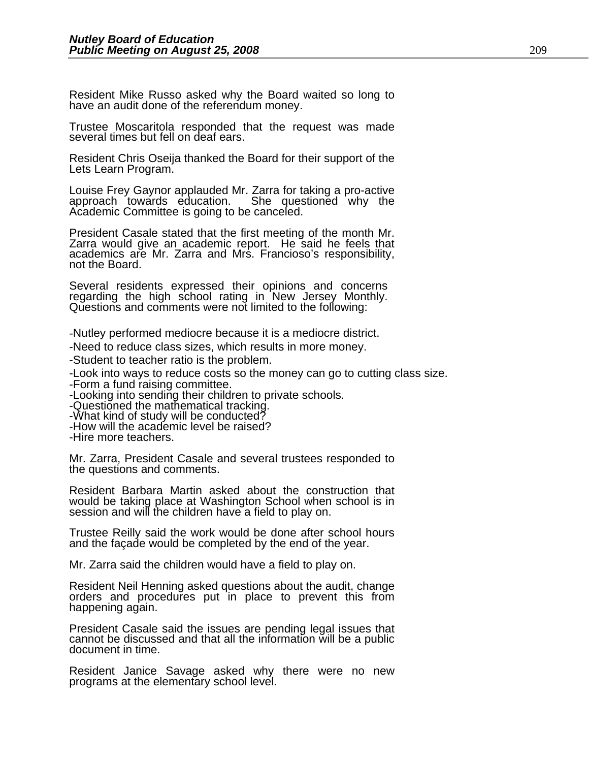Resident Mike Russo asked why the Board waited so long to have an audit done of the referendum money.

Trustee Moscaritola responded that the request was made several times but fell on deaf ears.

Resident Chris Oseija thanked the Board for their support of the Lets Learn Program.

Louise Frey Gaynor applauded Mr. Zarra for taking a pro-active approach towards education. She questioned why the Academic Committee is going to be canceled.

President Casale stated that the first meeting of the month Mr. Zarra would give an academic report. He said he feels that academics are Mr. Zarra and Mrs. Francioso's responsibility, not the Board.

Several residents expressed their opinions and concerns regarding the high school rating in New Jersey Monthly. Questions and comments were not limited to the following:

-Nutley performed mediocre because it is a mediocre district.

-Need to reduce class sizes, which results in more money.

-Student to teacher ratio is the problem.

-Look into ways to reduce costs so the money can go to cutting class size. -Form a fund raising committee.

-Looking into sending their children to private schools.

-Questioned the mathematical tracking.

-What kind of study will be conducted?

-How will the academic level be raised?

-Hire more teachers.

Mr. Zarra, President Casale and several trustees responded to the questions and comments.

Resident Barbara Martin asked about the construction that would be taking place at Washington School when school is in session and will the children have a field to play on.

Trustee Reilly said the work would be done after school hours and the façade would be completed by the end of the year.

Mr. Zarra said the children would have a field to play on.

Resident Neil Henning asked questions about the audit, change orders and procedures put in place to prevent this from happening again.

President Casale said the issues are pending legal issues that cannot be discussed and that all the information will be a public document in time.

Resident Janice Savage asked why there were no new programs at the elementary school level.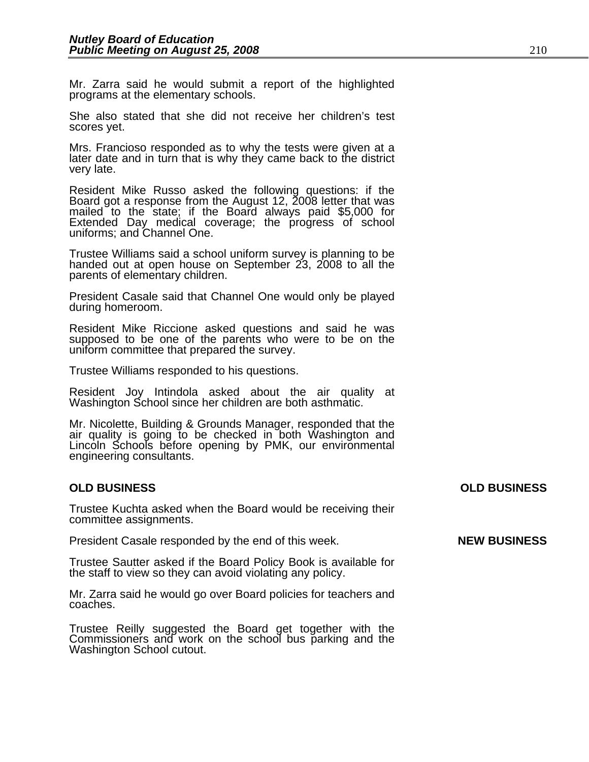Mr. Zarra said he would submit a report of the highlighted programs at the elementary schools.

She also stated that she did not receive her children's test scores yet.

Mrs. Francioso responded as to why the tests were given at a later date and in turn that is why they came back to the district very late.

Resident Mike Russo asked the following questions: if the Board got a response from the August 12, 2008 letter that was mailed to the state; if the Board always paid \$5,000 for Extended Day medical coverage; the progress of school uniforms; and Channel One.

Trustee Williams said a school uniform survey is planning to be handed out at open house on September 23, 2008 to all the parents of elementary children.

President Casale said that Channel One would only be played during homeroom.

Resident Mike Riccione asked questions and said he was supposed to be one of the parents who were to be on the uniform committee that prepared the survey.

Trustee Williams responded to his questions.

Resident Joy Intindola asked about the air quality at Washington School since her children are both asthmatic.

Mr. Nicolette, Building & Grounds Manager, responded that the air quality is going to be checked in both Washington and Lincoln Schools before opening by PMK, our environmental engineering consultants.

#### **OLD BUSINESS OLD BUSINESS**

Trustee Kuchta asked when the Board would be receiving their committee assignments.

President Casale responded by the end of this week. **NEW BUSINESS** 

Trustee Sautter asked if the Board Policy Book is available for the staff to view so they can avoid violating any policy.

Mr. Zarra said he would go over Board policies for teachers and coaches.

Trustee Reilly suggested the Board get together with the Commissioners and work on the school bus parking and the Washington School cutout.